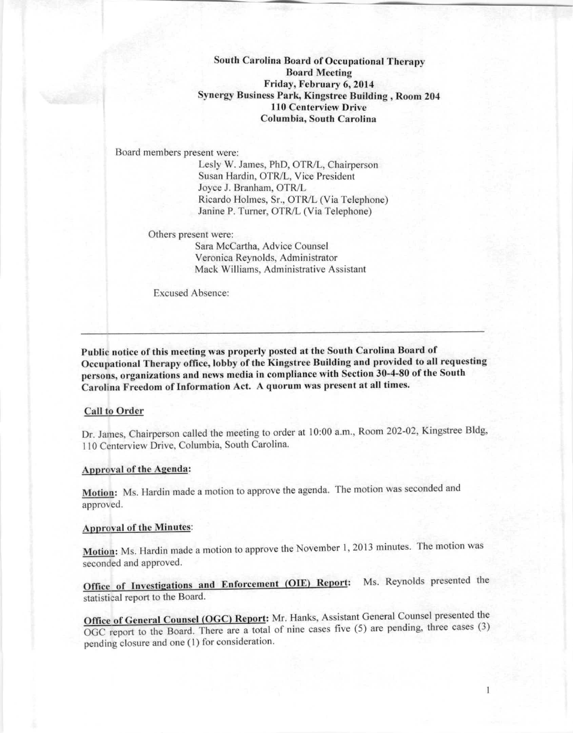South Carolina Board of Occupational Therapy Board Meeting Friday, February 6, 2014 Synergy Business Park, Kingstree Building, Room 204 110 Centerview Drive Columbia, South Carolina

Board members present were:

Lesly W. James, PhD, OTR/L, Chairperson Susan Hardin, OTR/L, Vice President Joyce J. Branham, OTR/L Ricardo Holmes, Sr., OTR/L (Via Telephone) Janine P. Turner, OTR/L (Via Telephone)

Others present were:

Sara McCartha, Advice Counsel Veronica Reynolds, Administrator Mack Williams, Administrative Assistant

Excused Absence:

Public notice of this meeting was properly posted at Ihe South Carolina Board of Occupational Therapy office, lobby of the Kingstree Building and provided to all requesting persons, orgauizations and uews media in compliance with Section 30-4-80 of the South Carolina Freedom of Information Act. A quorum was present at all times.

#### Call to Order

Dr. James, Chairperson called the meeting to order at 10:00 a.m., Room 202-02, Kingstree Bldg, 110 Centerview Drive, Columbia, South Carolina.

## Approval of the Agenda:

Motion: Ms. Hardin made a motion to approve the agenda. The motion was seconded and approved.

# Approval of the Minutes:

Motion: Ms. Hardin made a motion to approve the November 1, 2013 minutes. The motion was seconded and approved.

Office of Investigations and Enforcement (OIE) Report: Ms. Reynolds presented the statistical report to the Board.

Office of General Counsel (OGC) Report: Mr. Hanks, Assistant General Counsel presented the OGC report to the Board. There are a total of nine cases five (5) are pending, three cases (3) pending closure and one (1) for consideration.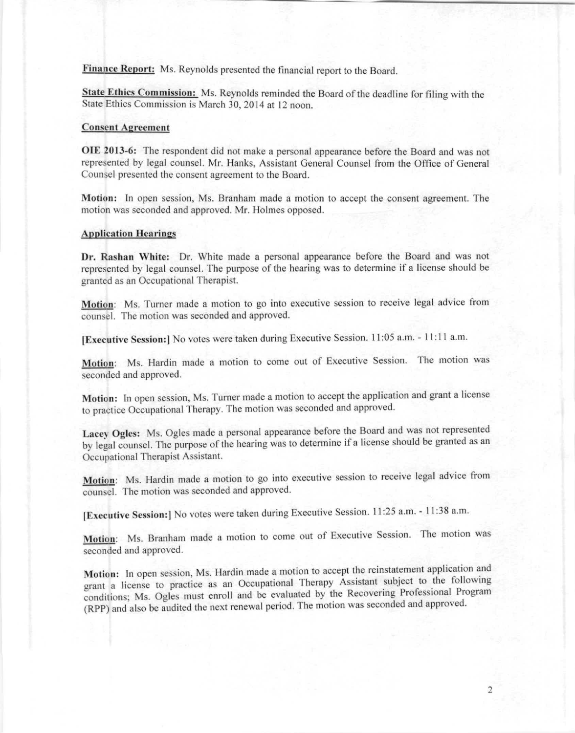Finance Report: Ms. Reynolds presented the financial report to the Board.

State Ethics Commission: Ms. Reynolds reminded the Board of the deadline for filing with the State Ethics Commission is March 30, 2014 at 12 noon.

#### **Consent Agreement**

OlE 2013-6: The respondent did not make a personal appearance before the Board and was not represented by legal counsel. Mr. Hanks, Assistant General Counsel from the Office of General Counsel presented the consent agreement to the Board.

Motion: In open session, Ms. Branham made a motion to accept the consent agreement. The motion was seconded and approved. Mr. Holmes opposed.

#### **Application Hearings**

Dr. Rashan White: Dr. White made a personal appearance before the Board and was not represented by legal counsel. The purpose of the hearing was to determine if a license should be granted as an Occupational Therapist.

**Motion:** Ms. Turner made a motion to go into executive session to receive legal advice from counsel. The motion was seconded and approved.

(Exeeutive Session:] No votes were taken during Executive Session. II :05 a.m. - II: I I a.m.

Motion: Ms. Hardin made a motion to come out of Executive Session. The motion was seconded and approved.

Motion: In open session, Ms. Turner made a motion to accept the application and grant a license to practice Occupational Therapy. The motion was seconded and approved.

Lacey Ogles: Ms. Ogles made a personal appearance before the Board and was not represented by legal counsel. The purpose of the hearing was to determine if a license should be granted as an Occupational Therapist Assistant.

Motion: Ms. Hardin made a motion to go into executive session to receive legal advice from counsel. The motion was seconded and approved.

(Executive Session:) No votes were taken during Executive Session. II :25 a.m. - II :38 a.m.

Motion: Ms. Branham made a motion to come out of Executive Session. The motion was seconded and approved.

Motion: In open session, Ms. Hardin made a motion to accept the reinstatement application and grant a license to practice as an Occupational Therapy Assistant subject to the following conditions; Ms. Ogles must enroll and be evaluated by the Recovering Professional Program (RPP) and also be audited the next renewal period. The motion was seconded and approved.